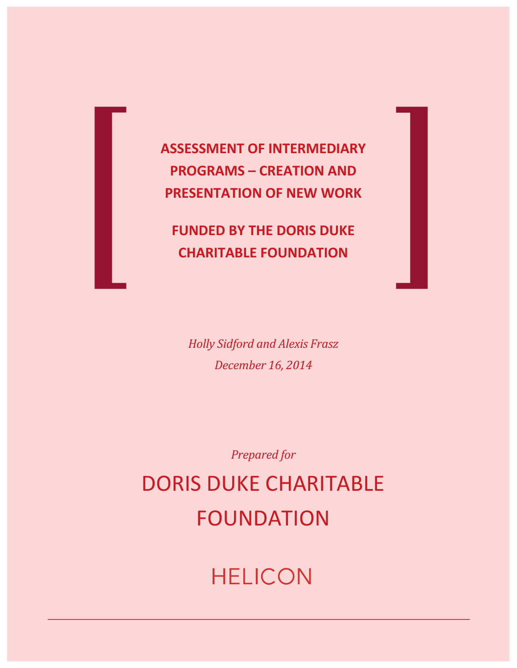

**ASSESSMENT OF INTERMEDIARY PROGRAMS – CREATION AND PRESENTATION OF NEW WORK** 

**FUNDED BY THE DORIS DUKE CHARITABLE FOUNDATION** 

*Holly Sidford and Alexis Frasz December 16, 2014*

*Prepared for*

DORIS DUKE CHARITABLE FOUNDATION

# **HELICON**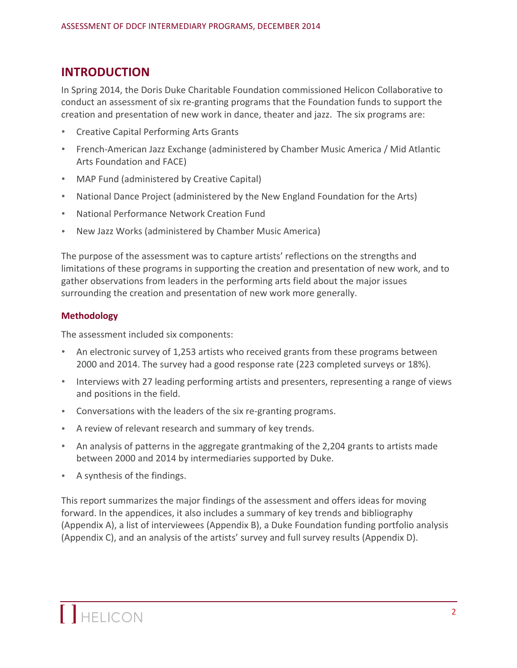# **INTRODUCTION**

In Spring 2014, the Doris Duke Charitable Foundation commissioned Helicon Collaborative to conduct an assessment of six re-granting programs that the Foundation funds to support the creation and presentation of new work in dance, theater and jazz. The six programs are:

- Creative Capital Performing Arts Grants
- French-American Jazz Exchange (administered by Chamber Music America / Mid Atlantic Arts Foundation and FACE)
- MAP Fund (administered by Creative Capital)
- National Dance Project (administered by the New England Foundation for the Arts)
- **National Performance Network Creation Fund**
- New Jazz Works (administered by Chamber Music America)

The purpose of the assessment was to capture artists' reflections on the strengths and limitations of these programs in supporting the creation and presentation of new work, and to gather observations from leaders in the performing arts field about the major issues surrounding the creation and presentation of new work more generally.

# **Methodology**

The assessment included six components:

- An electronic survey of 1,253 artists who received grants from these programs between 2000 and 2014. The survey had a good response rate (223 completed surveys or 18%).
- Interviews with 27 leading performing artists and presenters, representing a range of views and positions in the field.
- Conversations with the leaders of the six re-granting programs.
- A review of relevant research and summary of key trends.
- An analysis of patterns in the aggregate grantmaking of the 2,204 grants to artists made between 2000 and 2014 by intermediaries supported by Duke.
- A synthesis of the findings.

This report summarizes the major findings of the assessment and offers ideas for moving forward. In the appendices, it also includes a summary of key trends and bibliography (Appendix A), a list of interviewees (Appendix B), a Duke Foundation funding portfolio analysis (Appendix C), and an analysis of the artists' survey and full survey results (Appendix D).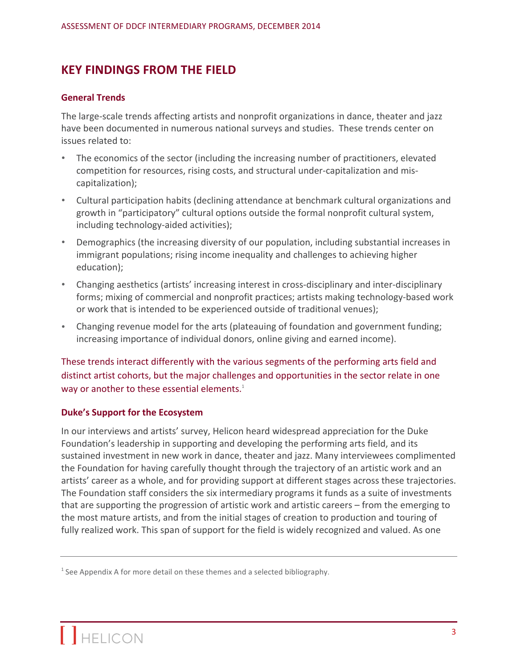# **KEY FINDINGS FROM THE FIELD**

#### **General Trends**

The large-scale trends affecting artists and nonprofit organizations in dance, theater and jazz have been documented in numerous national surveys and studies. These trends center on issues related to:

- The economics of the sector (including the increasing number of practitioners, elevated competition for resources, rising costs, and structural under-capitalization and miscapitalization);
- Cultural participation habits (declining attendance at benchmark cultural organizations and growth in "participatory" cultural options outside the formal nonprofit cultural system, including technology-aided activities);
- Demographics (the increasing diversity of our population, including substantial increases in immigrant populations; rising income inequality and challenges to achieving higher education);
- Changing aesthetics (artists' increasing interest in cross-disciplinary and inter-disciplinary forms; mixing of commercial and nonprofit practices; artists making technology-based work or work that is intended to be experienced outside of traditional venues);
- Changing revenue model for the arts (plateauing of foundation and government funding; increasing importance of individual donors, online giving and earned income).

These trends interact differently with the various segments of the performing arts field and distinct artist cohorts, but the major challenges and opportunities in the sector relate in one way or another to these essential elements.<sup>1</sup>

#### **Duke's Support for the Ecosystem**

In our interviews and artists' survey, Helicon heard widespread appreciation for the Duke Foundation's leadership in supporting and developing the performing arts field, and its sustained investment in new work in dance, theater and jazz. Many interviewees complimented the Foundation for having carefully thought through the trajectory of an artistic work and an artists' career as a whole, and for providing support at different stages across these trajectories. The Foundation staff considers the six intermediary programs it funds as a suite of investments that are supporting the progression of artistic work and artistic careers – from the emerging to the most mature artists, and from the initial stages of creation to production and touring of fully realized work. This span of support for the field is widely recognized and valued. As one

 $1$  See Appendix A for more detail on these themes and a selected bibliography.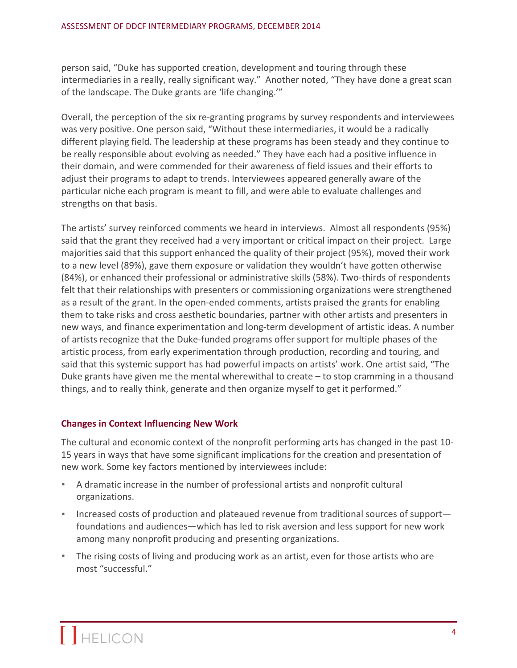person said, "Duke has supported creation, development and touring through these intermediaries in a really, really significant way." Another noted, "They have done a great scan of the landscape. The Duke grants are 'life changing.'"

Overall, the perception of the six re-granting programs by survey respondents and interviewees was very positive. One person said, "Without these intermediaries, it would be a radically different playing field. The leadership at these programs has been steady and they continue to be really responsible about evolving as needed." They have each had a positive influence in their domain, and were commended for their awareness of field issues and their efforts to adjust their programs to adapt to trends. Interviewees appeared generally aware of the particular niche each program is meant to fill, and were able to evaluate challenges and strengths on that basis.

The artists' survey reinforced comments we heard in interviews. Almost all respondents (95%) said that the grant they received had a very important or critical impact on their project. Large majorities said that this support enhanced the quality of their project (95%), moved their work to a new level (89%), gave them exposure or validation they wouldn't have gotten otherwise (84%), or enhanced their professional or administrative skills (58%). Two-thirds of respondents felt that their relationships with presenters or commissioning organizations were strengthened as a result of the grant. In the open-ended comments, artists praised the grants for enabling them to take risks and cross aesthetic boundaries, partner with other artists and presenters in new ways, and finance experimentation and long-term development of artistic ideas. A number of artists recognize that the Duke-funded programs offer support for multiple phases of the artistic process, from early experimentation through production, recording and touring, and said that this systemic support has had powerful impacts on artists' work. One artist said, "The Duke grants have given me the mental wherewithal to create  $-$  to stop cramming in a thousand things, and to really think, generate and then organize myself to get it performed."

# **Changes in Context Influencing New Work**

The cultural and economic context of the nonprofit performing arts has changed in the past 10-15 years in ways that have some significant implications for the creation and presentation of new work. Some key factors mentioned by interviewees include:

- A dramatic increase in the number of professional artists and nonprofit cultural organizations.
- Increased costs of production and plateaued revenue from traditional sources of support foundations and audiences—which has led to risk aversion and less support for new work among many nonprofit producing and presenting organizations.
- The rising costs of living and producing work as an artist, even for those artists who are most "successful."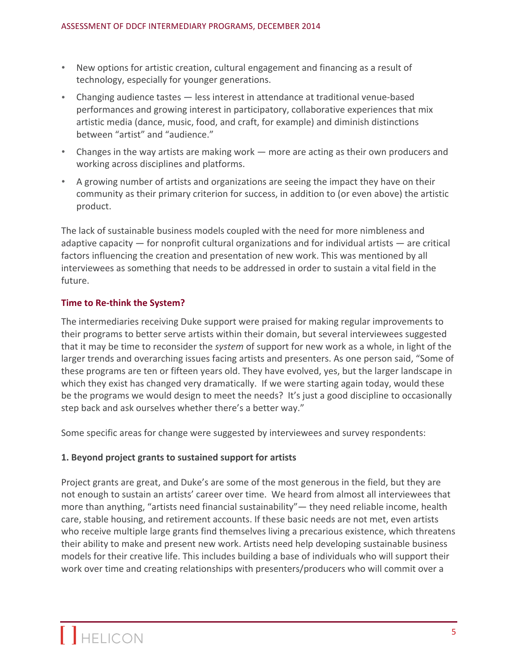- New options for artistic creation, cultural engagement and financing as a result of technology, especially for younger generations.
- Changing audience tastes less interest in attendance at traditional venue-based performances and growing interest in participatory, collaborative experiences that mix artistic media (dance, music, food, and craft, for example) and diminish distinctions between "artist" and "audience."
- Changes in the way artists are making work more are acting as their own producers and working across disciplines and platforms.
- A growing number of artists and organizations are seeing the impact they have on their community as their primary criterion for success, in addition to (or even above) the artistic product.

The lack of sustainable business models coupled with the need for more nimbleness and adaptive capacity  $-$  for nonprofit cultural organizations and for individual artists  $-$  are critical factors influencing the creation and presentation of new work. This was mentioned by all interviewees as something that needs to be addressed in order to sustain a vital field in the future.

# **Time to Re-think the System?**

The intermediaries receiving Duke support were praised for making regular improvements to their programs to better serve artists within their domain, but several interviewees suggested that it may be time to reconsider the *system* of support for new work as a whole, in light of the larger trends and overarching issues facing artists and presenters. As one person said, "Some of these programs are ten or fifteen years old. They have evolved, yes, but the larger landscape in which they exist has changed very dramatically. If we were starting again today, would these be the programs we would design to meet the needs? It's just a good discipline to occasionally step back and ask ourselves whether there's a better way."

Some specific areas for change were suggested by interviewees and survey respondents:

# 1. Beyond project grants to sustained support for artists

Project grants are great, and Duke's are some of the most generous in the field, but they are not enough to sustain an artists' career over time. We heard from almost all interviewees that more than anything, "artists need financial sustainability"— they need reliable income, health care, stable housing, and retirement accounts. If these basic needs are not met, even artists who receive multiple large grants find themselves living a precarious existence, which threatens their ability to make and present new work. Artists need help developing sustainable business models for their creative life. This includes building a base of individuals who will support their work over time and creating relationships with presenters/producers who will commit over a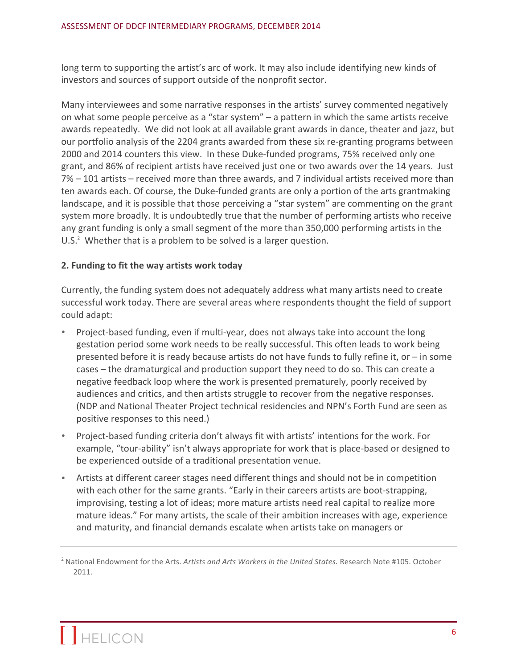long term to supporting the artist's arc of work. It may also include identifying new kinds of investors and sources of support outside of the nonprofit sector.

Many interviewees and some narrative responses in the artists' survey commented negatively on what some people perceive as a "star system"  $-$  a pattern in which the same artists receive awards repeatedly. We did not look at all available grant awards in dance, theater and jazz, but our portfolio analysis of the 2204 grants awarded from these six re-granting programs between 2000 and 2014 counters this view. In these Duke-funded programs, 75% received only one grant, and 86% of recipient artists have received just one or two awards over the 14 years. Just  $7\%$  – 101 artists – received more than three awards, and 7 individual artists received more than ten awards each. Of course, the Duke-funded grants are only a portion of the arts grantmaking landscape, and it is possible that those perceiving a "star system" are commenting on the grant system more broadly. It is undoubtedly true that the number of performing artists who receive any grant funding is only a small segment of the more than 350,000 performing artists in the U.S. $2$  Whether that is a problem to be solved is a larger question.

# **2. Funding to fit the way artists work today**

Currently, the funding system does not adequately address what many artists need to create successful work today. There are several areas where respondents thought the field of support could adapt:

- Project-based funding, even if multi-year, does not always take into account the long gestation period some work needs to be really successful. This often leads to work being presented before it is ready because artists do not have funds to fully refine it, or  $-$  in some cases – the dramaturgical and production support they need to do so. This can create a negative feedback loop where the work is presented prematurely, poorly received by audiences and critics, and then artists struggle to recover from the negative responses. (NDP and National Theater Project technical residencies and NPN's Forth Fund are seen as positive responses to this need.)
- Project-based funding criteria don't always fit with artists' intentions for the work. For example, "tour-ability" isn't always appropriate for work that is place-based or designed to be experienced outside of a traditional presentation venue.
- Artists at different career stages need different things and should not be in competition with each other for the same grants. "Early in their careers artists are boot-strapping, improvising, testing a lot of ideas; more mature artists need real capital to realize more mature ideas." For many artists, the scale of their ambition increases with age, experience and maturity, and financial demands escalate when artists take on managers or

<sup>&</sup>lt;sup>2</sup> National Endowment for the Arts. Artists and Arts Workers in the United States. Research Note #105. October 2011.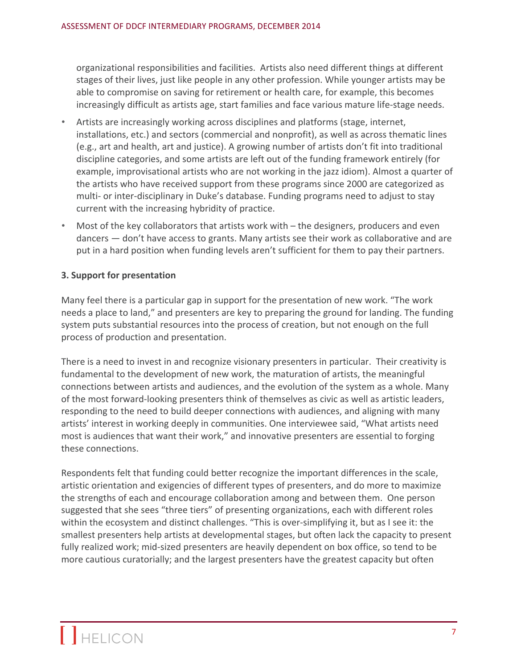organizational responsibilities and facilities. Artists also need different things at different stages of their lives, just like people in any other profession. While younger artists may be able to compromise on saving for retirement or health care, for example, this becomes increasingly difficult as artists age, start families and face various mature life-stage needs.

- Artists are increasingly working across disciplines and platforms (stage, internet, installations, etc.) and sectors (commercial and nonprofit), as well as across thematic lines (e.g., art and health, art and justice). A growing number of artists don't fit into traditional discipline categories, and some artists are left out of the funding framework entirely (for example, improvisational artists who are not working in the jazz idiom). Almost a quarter of the artists who have received support from these programs since 2000 are categorized as multi- or inter-disciplinary in Duke's database. Funding programs need to adjust to stay current with the increasing hybridity of practice.
- Most of the key collaborators that artists work with the designers, producers and even dancers  $-$  don't have access to grants. Many artists see their work as collaborative and are put in a hard position when funding levels aren't sufficient for them to pay their partners.

## **3. Support for presentation**

Many feel there is a particular gap in support for the presentation of new work. "The work needs a place to land," and presenters are key to preparing the ground for landing. The funding system puts substantial resources into the process of creation, but not enough on the full process of production and presentation.

There is a need to invest in and recognize visionary presenters in particular. Their creativity is fundamental to the development of new work, the maturation of artists, the meaningful connections between artists and audiences, and the evolution of the system as a whole. Many of the most forward-looking presenters think of themselves as civic as well as artistic leaders, responding to the need to build deeper connections with audiences, and aligning with many artists' interest in working deeply in communities. One interviewee said, "What artists need most is audiences that want their work," and innovative presenters are essential to forging these connections.

Respondents felt that funding could better recognize the important differences in the scale, artistic orientation and exigencies of different types of presenters, and do more to maximize the strengths of each and encourage collaboration among and between them. One person suggested that she sees "three tiers" of presenting organizations, each with different roles within the ecosystem and distinct challenges. "This is over-simplifying it, but as I see it: the smallest presenters help artists at developmental stages, but often lack the capacity to present fully realized work; mid-sized presenters are heavily dependent on box office, so tend to be more cautious curatorially; and the largest presenters have the greatest capacity but often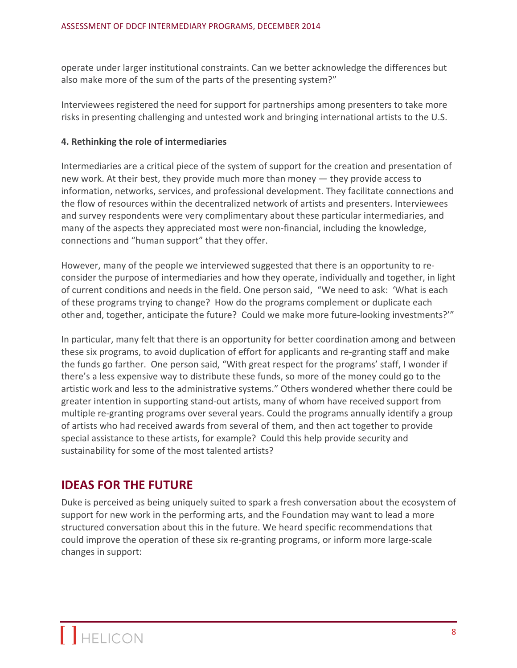operate under larger institutional constraints. Can we better acknowledge the differences but also make more of the sum of the parts of the presenting system?"

Interviewees registered the need for support for partnerships among presenters to take more risks in presenting challenging and untested work and bringing international artists to the U.S.

# **4. Rethinking the role of intermediaries**

Intermediaries are a critical piece of the system of support for the creation and presentation of new work. At their best, they provide much more than money  $-$  they provide access to information, networks, services, and professional development. They facilitate connections and the flow of resources within the decentralized network of artists and presenters. Interviewees and survey respondents were very complimentary about these particular intermediaries, and many of the aspects they appreciated most were non-financial, including the knowledge, connections and "human support" that they offer.

However, many of the people we interviewed suggested that there is an opportunity to reconsider the purpose of intermediaries and how they operate, individually and together, in light of current conditions and needs in the field. One person said, "We need to ask: 'What is each of these programs trying to change? How do the programs complement or duplicate each other and, together, anticipate the future? Could we make more future-looking investments?""

In particular, many felt that there is an opportunity for better coordination among and between these six programs, to avoid duplication of effort for applicants and re-granting staff and make the funds go farther. One person said, "With great respect for the programs' staff, I wonder if there's a less expensive way to distribute these funds, so more of the money could go to the artistic work and less to the administrative systems." Others wondered whether there could be greater intention in supporting stand-out artists, many of whom have received support from multiple re-granting programs over several years. Could the programs annually identify a group of artists who had received awards from several of them, and then act together to provide special assistance to these artists, for example? Could this help provide security and sustainability for some of the most talented artists?

# **IDEAS FOR THE FUTURE**

Duke is perceived as being uniquely suited to spark a fresh conversation about the ecosystem of support for new work in the performing arts, and the Foundation may want to lead a more structured conversation about this in the future. We heard specific recommendations that could improve the operation of these six re-granting programs, or inform more large-scale changes in support: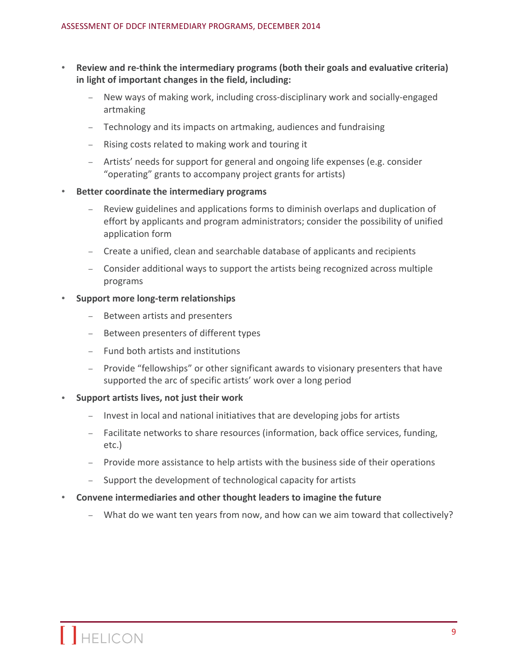- Review and re-think the intermediary programs (both their goals and evaluative criteria) in light of important changes in the field, including:
	- New ways of making work, including cross-disciplinary work and socially-engaged artmaking
	- Technology and its impacts on artmaking, audiences and fundraising
	- Rising costs related to making work and touring it
	- $-$  Artists' needs for support for general and ongoing life expenses (e.g. consider "operating" grants to accompany project grants for artists)
- **Better coordinate the intermediary programs** 
	- Review guidelines and applications forms to diminish overlaps and duplication of effort by applicants and program administrators; consider the possibility of unified application form
	- Create a unified, clean and searchable database of applicants and recipients
	- Consider additional ways to support the artists being recognized across multiple programs

## **Support more long-term relationships**

- Between artists and presenters
- Between presenters of different types
- Fund both artists and institutions
- Provide "fellowships" or other significant awards to visionary presenters that have supported the arc of specific artists' work over a long period
- Support artists lives, not just their work
	- Invest in local and national initiatives that are developing jobs for artists
	- Facilitate networks to share resources (information, back office services, funding, etc.)
	- Provide more assistance to help artists with the business side of their operations
	- Support the development of technological capacity for artists
- **Convene intermediaries and other thought leaders to imagine the future** 
	- What do we want ten years from now, and how can we aim toward that collectively?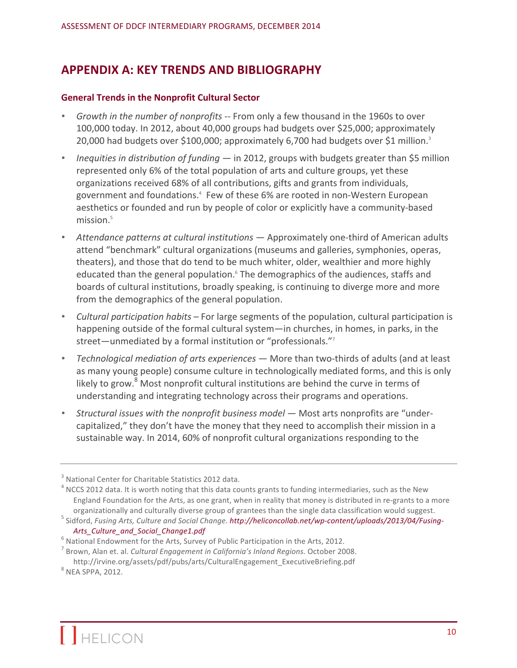# **APPENDIX A: KEY TRENDS AND BIBLIOGRAPHY**

#### **General Trends in the Nonprofit Cultural Sector**

- *Growth in the number of nonprofits* -- From only a few thousand in the 1960s to over 100,000 today. In 2012, about 40,000 groups had budgets over \$25,000; approximately 20,000 had budgets over \$100,000; approximately 6,700 had budgets over \$1 million.<sup>3</sup>
- *Inequities in distribution of funding*  $-$  in 2012, groups with budgets greater than \$5 million represented only 6% of the total population of arts and culture groups, yet these organizations received 68% of all contributions, gifts and grants from individuals, government and foundations.<sup>4</sup> Few of these 6% are rooted in non-Western European aesthetics or founded and run by people of color or explicitly have a community-based mission.<sup>5</sup>
- Attendance patterns at cultural institutions Approximately one-third of American adults attend "benchmark" cultural organizations (museums and galleries, symphonies, operas, theaters), and those that do tend to be much whiter, older, wealthier and more highly educated than the general population.<sup>6</sup> The demographics of the audiences, staffs and boards of cultural institutions, broadly speaking, is continuing to diverge more and more from the demographics of the general population.
- *Cultural participation habits* For large segments of the population, cultural participation is happening outside of the formal cultural system—in churches, in homes, in parks, in the street—unmediated by a formal institution or "professionals."<sup>7</sup>
- *Technological mediation of arts experiences* More than two-thirds of adults (and at least as many young people) consume culture in technologically mediated forms, and this is only likely to grow. $8$  Most nonprofit cultural institutions are behind the curve in terms of understanding and integrating technology across their programs and operations.
- Structural issues with the nonprofit business model Most arts nonprofits are "undercapitalized," they don't have the money that they need to accomplish their mission in a sustainable way. In 2014, 60% of nonprofit cultural organizations responding to the

<sup>&</sup>lt;sup>3</sup> National Center for Charitable Statistics 2012 data.<br><sup>4</sup> NCCS 2012 data. It is worth noting that this data counts grants to funding intermediaries, such as the New England Foundation for the Arts, as one grant, when in reality that money is distributed in re-grants to a more organizationally and culturally diverse group of grantees than the single data classification would suggest.<br><sup>5</sup> Sidford, Fusing Arts, Culture and Social Change. http://heliconcollab.net/wp-content/uploads/2013/04/Fusing-

*Arts\_Culture\_and\_Social\_Change1.pdf*<br><sup>6</sup> National Endowment for the Arts, Survey of Public Participation in the Arts, 2012.<br><sup>7</sup> Brown, Alan et. al. *Cultural Engagement in California's Inland Regions.* October 2008.

http://irvine.org/assets/pdf/pubs/arts/CulturalEngagement\_ExecutiveBriefing.pdf <sup>8</sup> NEA SPPA, 2012.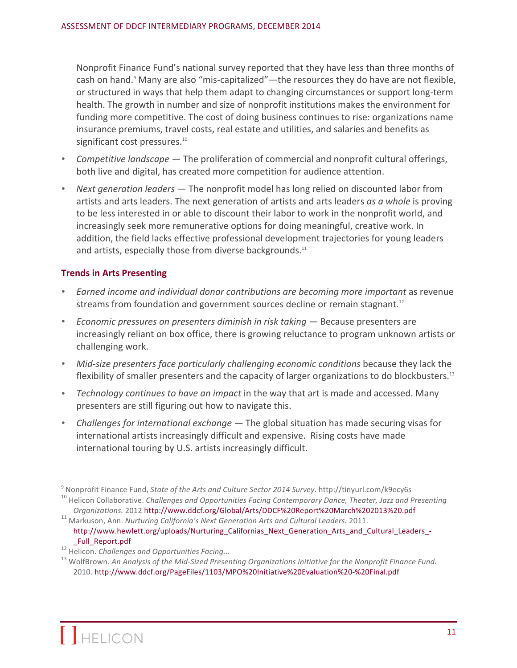Nonprofit Finance Fund's national survey reported that they have less than three months of cash on hand.<sup>9</sup> Many are also "mis-capitalized"—the resources they do have are not flexible, or structured in ways that help them adapt to changing circumstances or support long-term health. The growth in number and size of nonprofit institutions makes the environment for funding more competitive. The cost of doing business continues to rise: organizations name insurance premiums, travel costs, real estate and utilities, and salaries and benefits as significant cost pressures.<sup>10</sup>

- *Competitive landscape* The proliferation of commercial and nonprofit cultural offerings, both live and digital, has created more competition for audience attention.
- Next *generation leaders* The nonprofit model has long relied on discounted labor from artists and arts leaders. The next generation of artists and arts leaders *as a whole* is proving to be less interested in or able to discount their labor to work in the nonprofit world, and increasingly seek more remunerative options for doing meaningful, creative work. In addition, the field lacks effective professional development trajectories for young leaders and artists, especially those from diverse backgrounds. $11$

## **Trends in Arts Presenting**

- *Earned income and individual donor contributions are becoming more important* as revenue streams from foundation and government sources decline or remain stagnant.<sup>12</sup>
- *Economic pressures on presenters diminish in risk taking* Because presenters are increasingly reliant on box office, there is growing reluctance to program unknown artists or challenging work.
- Mid-size presenters face particularly *challenging economic conditions* because they lack the flexibility of smaller presenters and the capacity of larger organizations to do blockbusters.<sup>13</sup>
- *Technology continues to have an impact* in the way that art is made and accessed. Many presenters are still figuring out how to navigate this.
- Challenges for international exchange The global situation has made securing visas for international artists increasingly difficult and expensive. Rising costs have made international touring by U.S. artists increasingly difficult.

<sup>&</sup>lt;sup>9</sup> Nonprofit Finance Fund, State of the Arts and Culture Sector 2014 Survey. http://tinyurl.com/k9ecy6s<br><sup>10</sup> Helicon Collaborative. Challenges and Opportunities Facing Contemporary Dance, Theater, Jazz and Presenting

*Organizations.* 2012 http://www.ddcf.org/Global/Arts/DDCF%20Report%20March%202013%20.pdf<sup>11</sup> Markuson, Ann. *Nurturing California's Next Generation Arts and Cultural Leaders.* 2011.

http://www.hewlett.org/uploads/Nurturing\_Californias\_Next\_Generation\_Arts\_and\_Cultural\_Leaders\_-\_Full\_Report.pdf <sup>12</sup> Helicon. *Challenges and Opportunities Facing...* <sup>13</sup> WolfBrown. *An Analysis of the Mid-Sized Presenting Organizations Initiative for the Nonprofit Finance Fund.* 

<sup>2010.</sup> http://www.ddcf.org/PageFiles/1103/MPO%20Initiative%20Evaluation%20-%20Final.pdf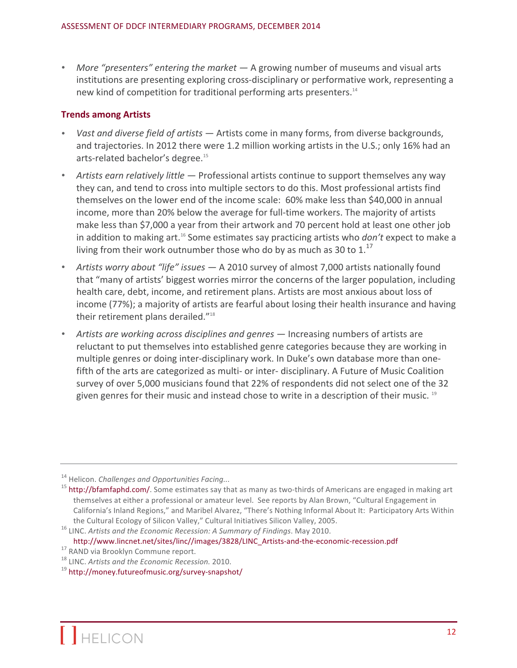• More "presenters" entering the market — A growing number of museums and visual arts institutions are presenting exploring cross-disciplinary or performative work, representing a new kind of competition for traditional performing arts presenters.<sup>14</sup>

#### **Trends among Artists**

- Vast and diverse field of artists  $-$  Artists come in many forms, from diverse backgrounds, and trajectories. In 2012 there were 1.2 million working artists in the U.S.; only 16% had an arts-related bachelor's degree.<sup>15</sup>
- Artists earn relatively little Professional artists continue to support themselves any way they can, and tend to cross into multiple sectors to do this. Most professional artists find themselves on the lower end of the income scale: 60% make less than \$40,000 in annual income, more than 20% below the average for full-time workers. The majority of artists make less than \$7,000 a year from their artwork and 70 percent hold at least one other job in addition to making art.<sup>16</sup> Some estimates say practicing artists who *don't* expect to make a living from their work outnumber those who do by as much as 30 to  $1.17$
- Artists worry about "life" issues A 2010 survey of almost 7,000 artists nationally found that "many of artists' biggest worries mirror the concerns of the larger population, including health care, debt, income, and retirement plans. Artists are most anxious about loss of income (77%); a majority of artists are fearful about losing their health insurance and having their retirement plans derailed."<sup>18</sup>
- Artists are working across disciplines and genres Increasing numbers of artists are reluctant to put themselves into established genre categories because they are working in multiple genres or doing inter-disciplinary work. In Duke's own database more than onefifth of the arts are categorized as multi- or inter- disciplinary. A Future of Music Coalition survey of over 5,000 musicians found that 22% of respondents did not select one of the 32 given genres for their music and instead chose to write in a description of their music.<sup>19</sup>

<sup>&</sup>lt;sup>14</sup> Helicon. *Challenges and Opportunities Facing...*<br><sup>15</sup> http://bfamfaphd.com/. Some estimates say that as many as two-thirds of Americans are engaged in making art themselves at either a professional or amateur level. See reports by Alan Brown, "Cultural Engagement in California's Inland Regions," and Maribel Alvarez, "There's Nothing Informal About It: Participatory Arts Within

the Cultural Ecology of Silicon Valley," Cultural Initiatives Silicon Valley, 2005.<br><sup>16</sup> LINC. *Artists and the Economic Recession: A Summary of Findings*. May 2010.

http://www.lincnet.net/sites/linc//images/3828/LINC\_Artists-and-the-economic-recession.pdf<br>
<sup>17</sup> RAND via Brooklyn Commune report.<br>
<sup>18</sup> LINC. *Artists and the Economic Recession*. 2010.<br>
<sup>19</sup> http://monev.futureofmusic.or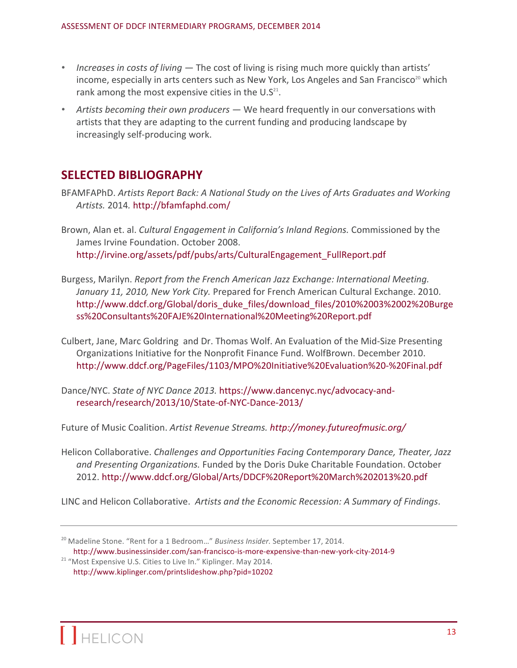- *Increases in costs of living*  $-$  The cost of living is rising much more quickly than artists' income, especially in arts centers such as New York, Los Angeles and San Francisco<sup>20</sup> which rank among the most expensive cities in the  $U.S^{21}$ .
- Artists becoming their own producers We heard frequently in our conversations with artists that they are adapting to the current funding and producing landscape by increasingly self-producing work.

# **SELECTED BIBLIOGRAPHY**

- BFAMFAPhD. Artists Report Back: A National Study on the Lives of Arts Graduates and Working *Artists.* 2014*.* http://bfamfaphd.com/
- Brown, Alan et. al. *Cultural Engagement in California's Inland Regions*. Commissioned by the James Irvine Foundation. October 2008. http://irvine.org/assets/pdf/pubs/arts/CulturalEngagement\_FullReport.pdf
- Burgess, Marilyn. *Report from the French American Jazz Exchange: International Meeting.* January 11, 2010, New York City. Prepared for French American Cultural Exchange. 2010. http://www.ddcf.org/Global/doris\_duke\_files/download\_files/2010%2003%2002%20Burge ss%20Consultants%20FAJE%20International%20Meeting%20Report.pdf
- Culbert, Jane, Marc Goldring and Dr. Thomas Wolf. An Evaluation of the Mid-Size Presenting Organizations Initiative for the Nonprofit Finance Fund. WolfBrown. December 2010. http://www.ddcf.org/PageFiles/1103/MPO%20Initiative%20Evaluation%20-%20Final.pdf
- Dance/NYC. *State of NYC Dance 2013.* https://www.dancenyc.nyc/advocacy-andresearch/research/2013/10/State-of-NYC-Dance-2013/

Future of Music Coalition. Artist Revenue Streams. http://money.futureofmusic.org/

Helicon Collaborative. *Challenges and Opportunities Facing Contemporary Dance, Theater, Jazz* and Presenting Organizations. Funded by the Doris Duke Charitable Foundation. October 2012. http://www.ddcf.org/Global/Arts/DDCF%20Report%20March%202013%20.pdf

LINC and Helicon Collaborative. Artists and the Economic Recession: A Summary of Findings.

<sup>&</sup>lt;sup>20</sup> Madeline Stone. "Rent for a 1 Bedroom..." Business Insider. September 17, 2014. http://www.businessinsider.com/san-francisco-is-more-expensive-than-new-york-city-2014-9

<sup>&</sup>lt;sup>21</sup> "Most Expensive U.S. Cities to Live In." Kiplinger. May 2014. http://www.kiplinger.com/printslideshow.php?pid=10202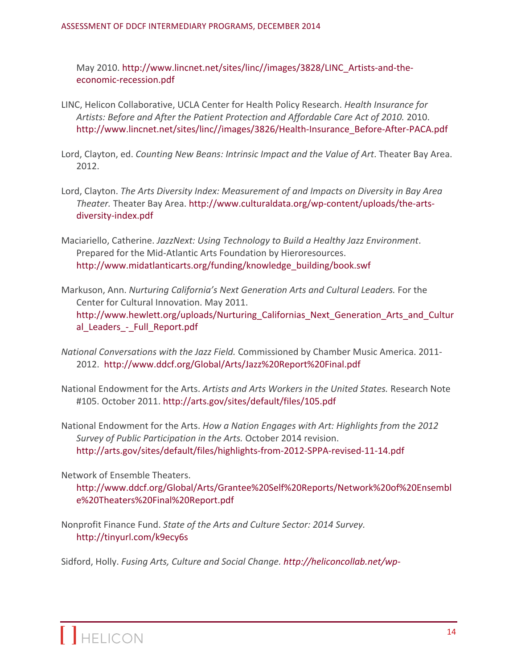May 2010. http://www.lincnet.net/sites/linc//images/3828/LINC\_Artists-and-theeconomic-recession.pdf

- LINC, Helicon Collaborative, UCLA Center for Health Policy Research. *Health Insurance for* Artists: Before and After the Patient Protection and Affordable Care Act of 2010. 2010. http://www.lincnet.net/sites/linc//images/3826/Health-Insurance\_Before-After-PACA.pdf
- Lord, Clayton, ed. *Counting New Beans: Intrinsic Impact and the Value of Art*. Theater Bay Area. 2012.
- Lord, Clayton. *The Arts Diversity Index: Measurement of and Impacts on Diversity in Bay Area Theater.* Theater Bay Area. http://www.culturaldata.org/wp-content/uploads/the-artsdiversity-index.pdf
- Maciariello, Catherine. JazzNext: Using Technology to Build a Healthy Jazz Environment. Prepared for the Mid-Atlantic Arts Foundation by Hieroresources. http://www.midatlanticarts.org/funding/knowledge\_building/book.swf
- Markuson, Ann. *Nurturing California's Next Generation Arts and Cultural Leaders.* For the Center for Cultural Innovation. May 2011. http://www.hewlett.org/uploads/Nurturing\_Californias\_Next\_Generation\_Arts\_and\_Cultur al Leaders - Full Report.pdf
- *National Conversations with the Jazz Field.* Commissioned by Chamber Music America. 2011-2012. http://www.ddcf.org/Global/Arts/Jazz%20Report%20Final.pdf
- National Endowment for the Arts. Artists and Arts Workers in the United States. Research Note #105. October 2011. http://arts.gov/sites/default/files/105.pdf
- National Endowment for the Arts. *How a Nation Engages with Art: Highlights from the 2012* Survey of Public Participation in the Arts. October 2014 revision. http://arts.gov/sites/default/files/highlights-from-2012-SPPA-revised-11-14.pdf

Network of Ensemble Theaters.

http://www.ddcf.org/Global/Arts/Grantee%20Self%20Reports/Network%20of%20Ensembl e%20Theaters%20Final%20Report.pdf

Nonprofit Finance Fund. *State of the Arts and Culture Sector: 2014 Survey.* http://tinyurl.com/k9ecy6s

Sidford, Holly. *Fusing Arts, Culture and Social Change. http://heliconcollab.net/wp-*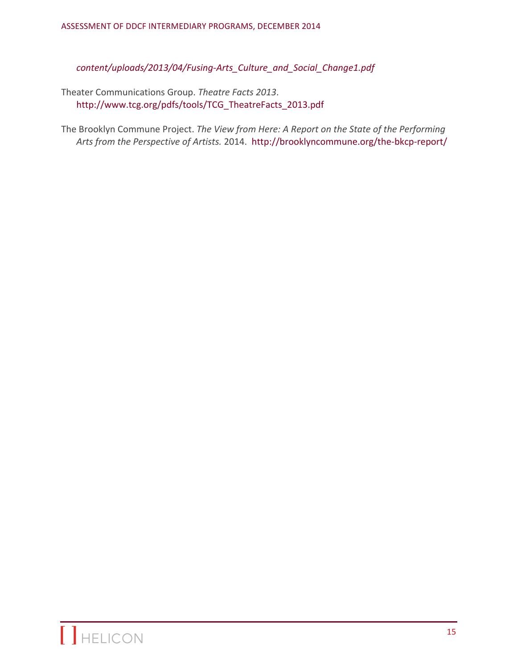*content/uploads/2013/04/Fusing-Arts\_Culture\_and\_Social\_Change1.pdf*

Theater Communications Group. Theatre Facts 2013. http://www.tcg.org/pdfs/tools/TCG\_TheatreFacts\_2013.pdf

The Brooklyn Commune Project. *The View from Here: A Report on the State of the Performing* Arts from the Perspective of Artists. 2014. http://brooklyncommune.org/the-bkcp-report/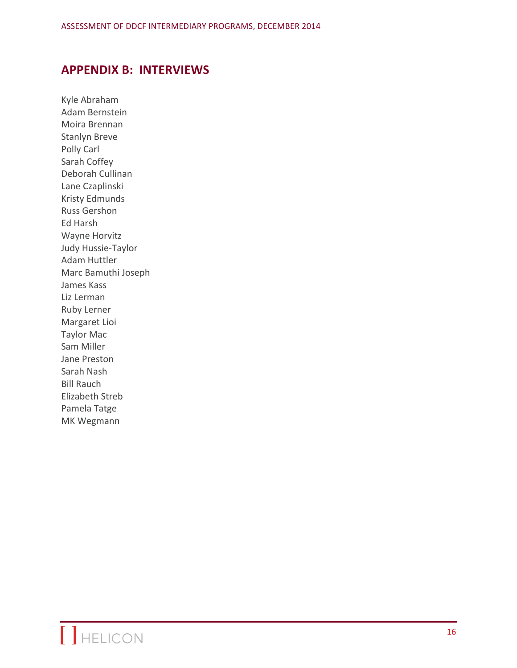# **APPENDIX B: INTERVIEWS**

Kyle Abraham Adam Bernstein Moira Brennan Stanlyn Breve Polly Carl Sarah Coffey Deborah Cullinan Lane Czaplinski **Kristy Edmunds** Russ Gershon Ed Harsh Wayne Horvitz Judy Hussie-Taylor Adam Huttler Marc Bamuthi Joseph James Kass Liz Lerman Ruby Lerner Margaret Lioi **Taylor Mac** Sam Miller Jane Preston Sarah Nash **Bill Rauch** Elizabeth Streb Pamela Tatge MK Wegmann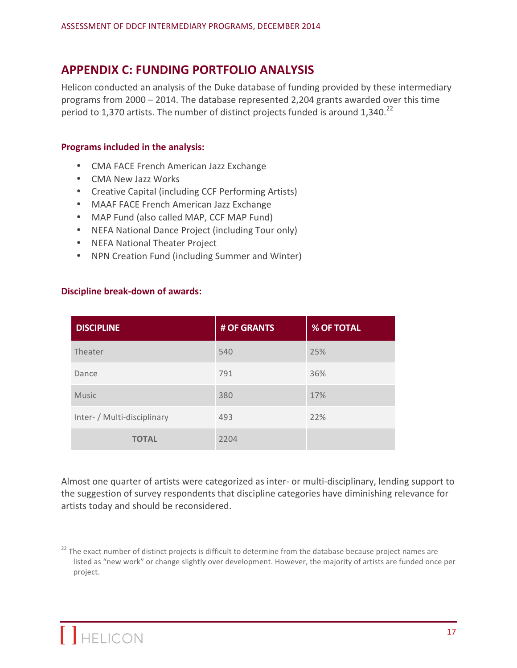# **APPENDIX C: FUNDING PORTFOLIO ANALYSIS**

Helicon conducted an analysis of the Duke database of funding provided by these intermediary programs from  $2000 - 2014$ . The database represented 2,204 grants awarded over this time period to 1,370 artists. The number of distinct projects funded is around 1,340.<sup>22</sup>

#### **Programs included in the analysis:**

- CMA FACE French American Jazz Exchange
- CMA New Jazz Works
- Creative Capital (including CCF Performing Artists)
- MAAF FACE French American Jazz Exchange
- MAP Fund (also called MAP, CCF MAP Fund)
- NEFA National Dance Project (including Tour only)
- NEFA National Theater Project
- NPN Creation Fund (including Summer and Winter)

# **Discipline break-down of awards:**

| <b>DISCIPLINE</b>           | # OF GRANTS | <b>% OF TOTAL</b> |
|-----------------------------|-------------|-------------------|
| Theater                     | 540         | 25%               |
| Dance                       | 791         | 36%               |
| <b>Music</b>                | 380         | 17%               |
| Inter- / Multi-disciplinary | 493         | 22%               |
| <b>TOTAL</b>                | 2204        |                   |

Almost one quarter of artists were categorized as inter- or multi-disciplinary, lending support to the suggestion of survey respondents that discipline categories have diminishing relevance for artists today and should be reconsidered.

 $22$  The exact number of distinct projects is difficult to determine from the database because project names are listed as "new work" or change slightly over development. However, the majority of artists are funded once per project.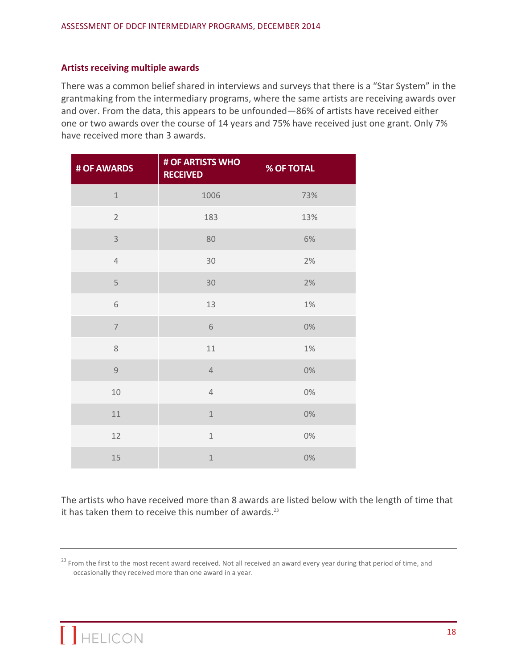#### **Artists receiving multiple awards**

There was a common belief shared in interviews and surveys that there is a "Star System" in the grantmaking from the intermediary programs, where the same artists are receiving awards over and over. From the data, this appears to be unfounded—86% of artists have received either one or two awards over the course of 14 years and 75% have received just one grant. Only 7% have received more than 3 awards.

| # OF AWARDS    | # OF ARTISTS WHO<br><b>RECEIVED</b> | % OF TOTAL |
|----------------|-------------------------------------|------------|
| $\mathbf 1$    | 1006                                | 73%        |
| $\overline{2}$ | 183                                 | 13%        |
| $\mathsf{3}$   | 80                                  | 6%         |
| $\overline{4}$ | 30                                  | 2%         |
| 5              | 30                                  | 2%         |
| 6              | 13                                  | 1%         |
| $\overline{7}$ | $6\,$                               | 0%         |
| $\,8\,$        | $11\,$                              | 1%         |
| $\mathsf 9$    | $\overline{4}$                      | $0\%$      |
| 10             | $\sqrt{4}$                          | $0\%$      |
| 11             | $\mathbf{1}$                        | $0\%$      |
| 12             | $\mathbf 1$                         | 0%         |
| 15             | $\mathbf 1$                         | 0%         |

The artists who have received more than 8 awards are listed below with the length of time that it has taken them to receive this number of awards.<sup>23</sup>

<sup>&</sup>lt;sup>23</sup> From the first to the most recent award received. Not all received an award every year during that period of time, and occasionally they received more than one award in a year.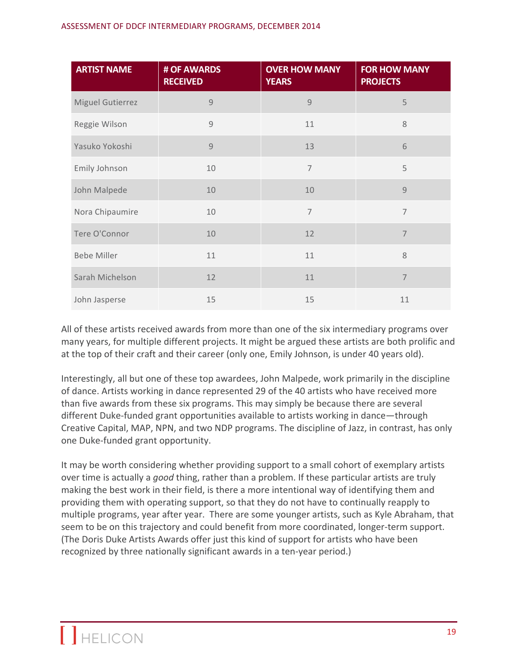| <b>ARTIST NAME</b> | # OF AWARDS<br><b>RECEIVED</b> | <b>OVER HOW MANY</b><br><b>YEARS</b> | <b>FOR HOW MANY</b><br><b>PROJECTS</b> |
|--------------------|--------------------------------|--------------------------------------|----------------------------------------|
| Miguel Gutierrez   | $\overline{9}$                 | 9                                    | 5                                      |
| Reggie Wilson      | $\overline{9}$                 | 11                                   | 8                                      |
| Yasuko Yokoshi     | 9                              | 13                                   | 6                                      |
| Emily Johnson      | 10                             | $\overline{7}$                       | 5                                      |
| John Malpede       | 10                             | 10                                   | 9                                      |
| Nora Chipaumire    | 10                             | $\overline{7}$                       | $\overline{7}$                         |
| Tere O'Connor      | 10                             | 12                                   | $\overline{7}$                         |
| <b>Bebe Miller</b> | 11                             | 11                                   | 8                                      |
| Sarah Michelson    | 12                             | 11                                   | $\overline{7}$                         |
| John Jasperse      | 15                             | 15                                   | 11                                     |

All of these artists received awards from more than one of the six intermediary programs over many years, for multiple different projects. It might be argued these artists are both prolific and at the top of their craft and their career (only one, Emily Johnson, is under 40 years old).

Interestingly, all but one of these top awardees, John Malpede, work primarily in the discipline of dance. Artists working in dance represented 29 of the 40 artists who have received more than five awards from these six programs. This may simply be because there are several different Duke-funded grant opportunities available to artists working in dance—through Creative Capital, MAP, NPN, and two NDP programs. The discipline of Jazz, in contrast, has only one Duke-funded grant opportunity.

It may be worth considering whether providing support to a small cohort of exemplary artists over time is actually a good thing, rather than a problem. If these particular artists are truly making the best work in their field, is there a more intentional way of identifying them and providing them with operating support, so that they do not have to continually reapply to multiple programs, year after year. There are some younger artists, such as Kyle Abraham, that seem to be on this trajectory and could benefit from more coordinated, longer-term support. (The Doris Duke Artists Awards offer just this kind of support for artists who have been recognized by three nationally significant awards in a ten-year period.)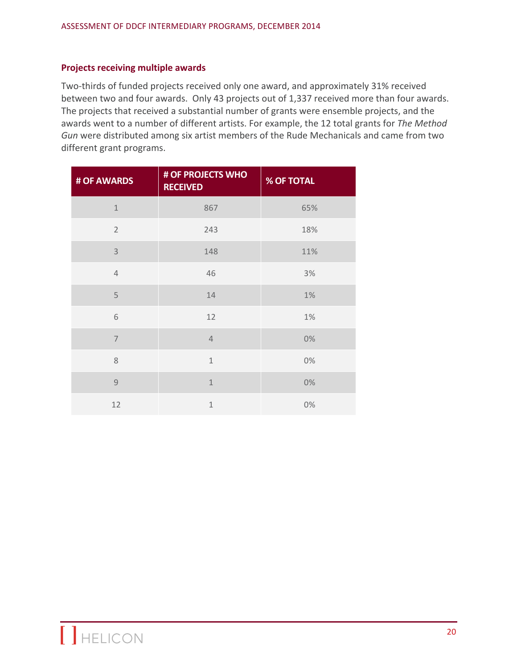#### **Projects receiving multiple awards**

Two-thirds of funded projects received only one award, and approximately 31% received between two and four awards. Only 43 projects out of 1,337 received more than four awards. The projects that received a substantial number of grants were ensemble projects, and the awards went to a number of different artists. For example, the 12 total grants for The Method Gun were distributed among six artist members of the Rude Mechanicals and came from two different grant programs.

| # OF AWARDS    | # OF PROJECTS WHO<br><b>RECEIVED</b> | <b>% OF TOTAL</b> |
|----------------|--------------------------------------|-------------------|
| $\mathbf{1}$   | 867                                  | 65%               |
| $\overline{2}$ | 243                                  | 18%               |
| 3              | 148                                  | 11%               |
| $\overline{4}$ | 46                                   | 3%                |
| 5              | 14                                   | 1%                |
| 6              | 12                                   | 1%                |
| $\overline{7}$ | $\overline{4}$                       | 0%                |
| 8              | $\mathbf{1}$                         | 0%                |
| $\overline{9}$ | $\overline{1}$                       | 0%                |
| 12             | $\mathbf{1}$                         | 0%                |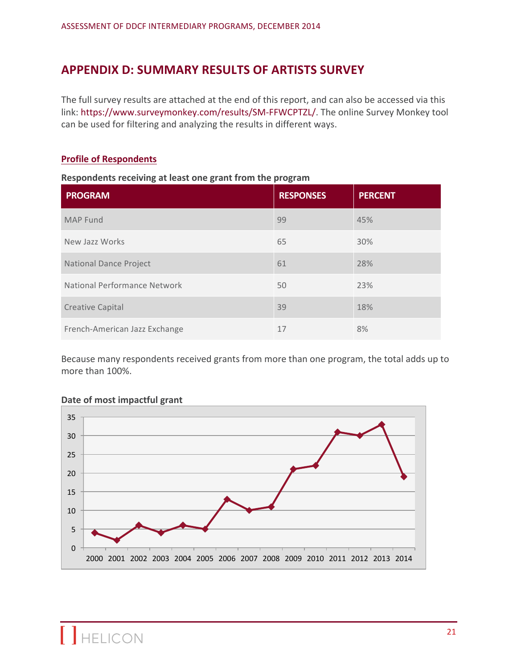# **APPENDIX D: SUMMARY RESULTS OF ARTISTS SURVEY**

The full survey results are attached at the end of this report, and can also be accessed via this link: https://www.surveymonkey.com/results/SM-FFWCPTZL/. The online Survey Monkey tool can be used for filtering and analyzing the results in different ways.

#### **Profile of Respondents**

## **Respondents receiving at least one grant from the program**

| <b>PROGRAM</b>                | <b>RESPONSES</b> | <b>PERCENT</b> |
|-------------------------------|------------------|----------------|
| <b>MAP Fund</b>               | 99               | 45%            |
| New Jazz Works                | 65               | 30%            |
| <b>National Dance Project</b> | 61               | 28%            |
| National Performance Network  | 50               | 23%            |
| <b>Creative Capital</b>       | 39               | 18%            |
| French-American Jazz Exchange | 17               | 8%             |

Because many respondents received grants from more than one program, the total adds up to more than 100%.



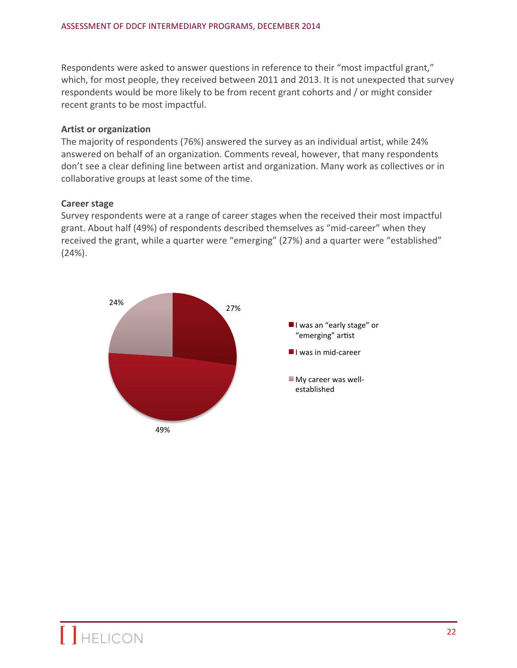Respondents were asked to answer questions in reference to their "most impactful grant," which, for most people, they received between 2011 and 2013. It is not unexpected that survey respondents would be more likely to be from recent grant cohorts and / or might consider recent grants to be most impactful.

## **Artist or organization**

The majority of respondents (76%) answered the survey as an individual artist, while 24% answered on behalf of an organization. Comments reveal, however, that many respondents don't see a clear defining line between artist and organization. Many work as collectives or in collaborative groups at least some of the time.

# **Career stage**

Survey respondents were at a range of career stages when the received their most impactful grant. About half (49%) of respondents described themselves as "mid-career" when they received the grant, while a quarter were "emerging" (27%) and a quarter were "established" (24%). 

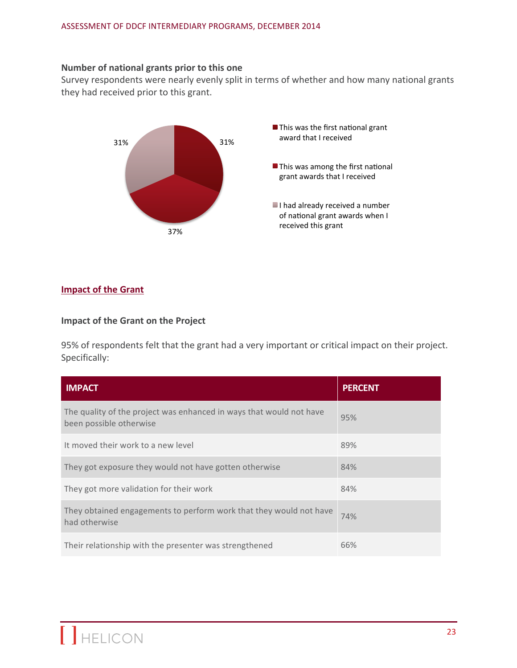#### **Number of national grants prior to this one**

Survey respondents were nearly evenly split in terms of whether and how many national grants they had received prior to this grant.



## **Impact of the Grant**

#### **Impact of the Grant on the Project**

95% of respondents felt that the grant had a very important or critical impact on their project. Specifically:

| <b>IMPACT</b>                                                                                  | <b>PERCENT</b> |
|------------------------------------------------------------------------------------------------|----------------|
| The quality of the project was enhanced in ways that would not have<br>been possible otherwise | 95%            |
| It moved their work to a new level                                                             | 89%            |
| They got exposure they would not have gotten otherwise                                         | 84%            |
| They got more validation for their work                                                        | 84%            |
| They obtained engagements to perform work that they would not have<br>had otherwise            | 74%            |
| Their relationship with the presenter was strengthened                                         | 66%            |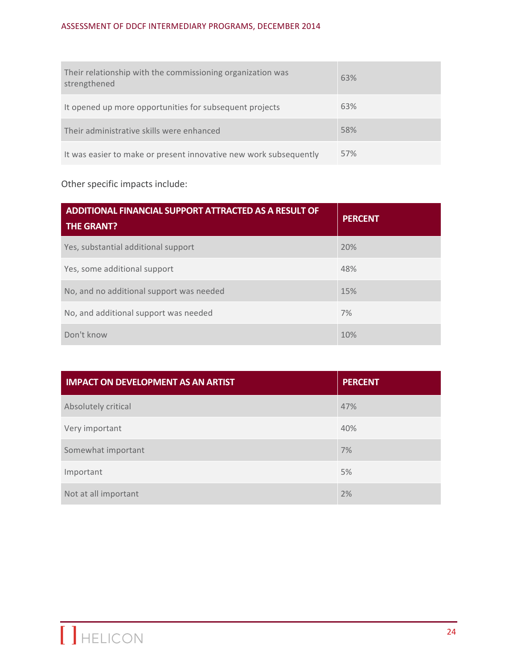# ASSESSMENT OF DDCF INTERMEDIARY PROGRAMS, DECEMBER 2014

| Their relationship with the commissioning organization was<br>strengthened | 63% |
|----------------------------------------------------------------------------|-----|
| It opened up more opportunities for subsequent projects                    | 63% |
| Their administrative skills were enhanced                                  | 58% |
| It was easier to make or present innovative new work subsequently          | 57% |

# Other specific impacts include:

| ADDITIONAL FINANCIAL SUPPORT ATTRACTED AS A RESULT OF<br><b>THE GRANT?</b> | <b>PERCENT</b> |
|----------------------------------------------------------------------------|----------------|
| Yes, substantial additional support                                        | 20%            |
| Yes, some additional support                                               | 48%            |
| No, and no additional support was needed                                   | 15%            |
| No, and additional support was needed                                      | 7%             |
| Don't know                                                                 | 10%            |

| <b>IMPACT ON DEVELOPMENT AS AN ARTIST</b> | <b>PERCENT</b> |
|-------------------------------------------|----------------|
| Absolutely critical                       | 47%            |
| Very important                            | 40%            |
| Somewhat important                        | 7%             |
| Important                                 | 5%             |
| Not at all important                      | 2%             |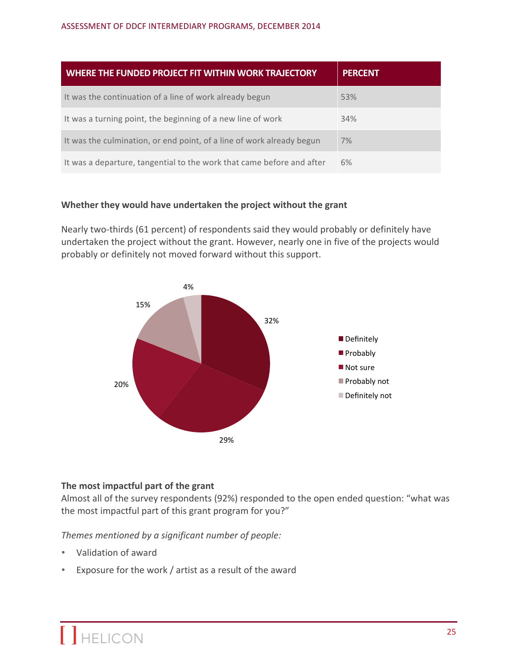| WHERE THE FUNDED PROJECT FIT WITHIN WORK TRAJECTORY                   | <b>PERCENT</b> |
|-----------------------------------------------------------------------|----------------|
| It was the continuation of a line of work already begun               | 53%            |
| It was a turning point, the beginning of a new line of work           | 34%            |
| It was the culmination, or end point, of a line of work already begun | 7%             |
| It was a departure, tangential to the work that came before and after | 6%             |

## Whether they would have undertaken the project without the grant

Nearly two-thirds (61 percent) of respondents said they would probably or definitely have undertaken the project without the grant. However, nearly one in five of the projects would probably or definitely not moved forward without this support.



# The most impactful part of the grant

Almost all of the survey respondents (92%) responded to the open ended question: "what was the most impactful part of this grant program for you?"

Themes mentioned by a significant number of people:

- Validation of award
- Exposure for the work / artist as a result of the award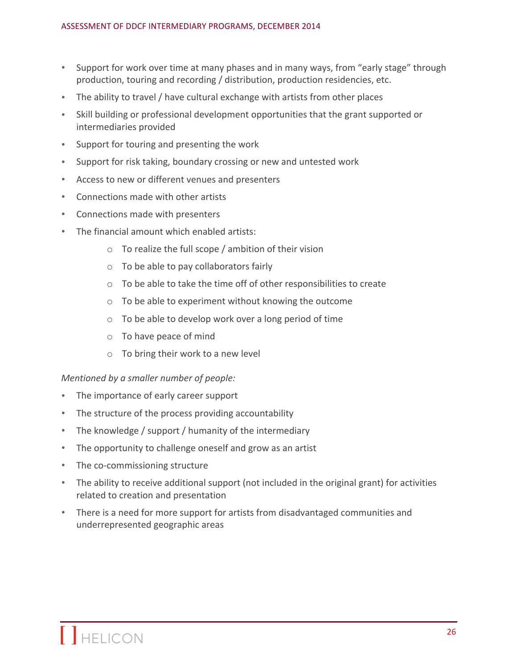- Support for work over time at many phases and in many ways, from "early stage" through production, touring and recording / distribution, production residencies, etc.
- The ability to travel / have cultural exchange with artists from other places
- Skill building or professional development opportunities that the grant supported or intermediaries provided
- Support for touring and presenting the work
- Support for risk taking, boundary crossing or new and untested work
- Access to new or different venues and presenters
- Connections made with other artists
- Connections made with presenters
- The financial amount which enabled artists:
	- $\circ$  To realize the full scope / ambition of their vision
	- $\circ$  To be able to pay collaborators fairly
	- $\circ$  To be able to take the time off of other responsibilities to create
	- $\circ$  To be able to experiment without knowing the outcome
	- $\circ$  To be able to develop work over a long period of time
	- $\circ$  To have peace of mind
	- $\circ$  To bring their work to a new level

#### *Mentioned by a smaller number of people:*

- The importance of early career support
- The structure of the process providing accountability
- The knowledge / support / humanity of the intermediary
- The opportunity to challenge oneself and grow as an artist
- The co-commissioning structure
- The ability to receive additional support (not included in the original grant) for activities related to creation and presentation
- There is a need for more support for artists from disadvantaged communities and underrepresented geographic areas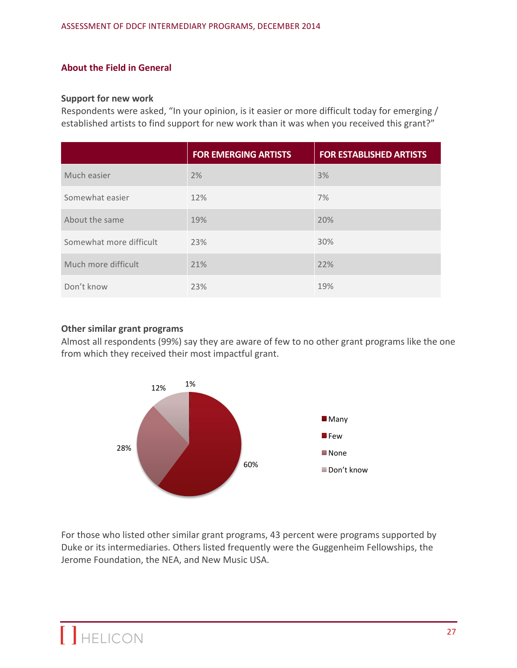## **About the Field in General**

#### **Support for new work**

Respondents were asked, "In your opinion, is it easier or more difficult today for emerging / established artists to find support for new work than it was when you received this grant?"

|                         | <b>FOR EMERGING ARTISTS</b> | <b>FOR ESTABLISHED ARTISTS</b> |
|-------------------------|-----------------------------|--------------------------------|
| Much easier             | 2%                          | 3%                             |
| Somewhat easier         | 12%                         | 7%                             |
| About the same          | 19%                         | 20%                            |
| Somewhat more difficult | 23%                         | 30%                            |
| Much more difficult     | 21%                         | 22%                            |
| Don't know              | 23%                         | 19%                            |

#### **Other similar grant programs**

Almost all respondents (99%) say they are aware of few to no other grant programs like the one from which they received their most impactful grant.



For those who listed other similar grant programs, 43 percent were programs supported by Duke or its intermediaries. Others listed frequently were the Guggenheim Fellowships, the Jerome Foundation, the NEA, and New Music USA.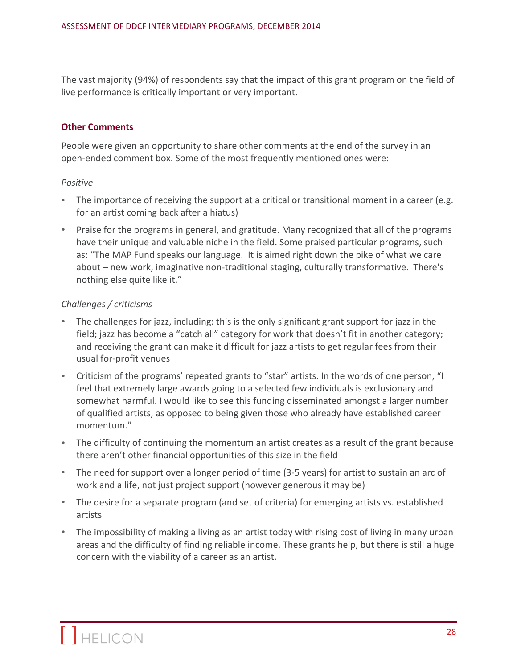The vast majority (94%) of respondents say that the impact of this grant program on the field of live performance is critically important or very important.

#### **Other Comments**

People were given an opportunity to share other comments at the end of the survey in an open-ended comment box. Some of the most frequently mentioned ones were:

#### *Positive*

- The importance of receiving the support at a critical or transitional moment in a career (e.g. for an artist coming back after a hiatus)
- Praise for the programs in general, and gratitude. Many recognized that all of the programs have their unique and valuable niche in the field. Some praised particular programs, such as: "The MAP Fund speaks our language. It is aimed right down the pike of what we care about – new work, imaginative non-traditional staging, culturally transformative. There's nothing else quite like it."

#### *Challenges / criticisms*

- The challenges for jazz, including: this is the only significant grant support for jazz in the field; jazz has become a "catch all" category for work that doesn't fit in another category; and receiving the grant can make it difficult for jazz artists to get regular fees from their usual for-profit venues
- Criticism of the programs' repeated grants to "star" artists. In the words of one person, "I feel that extremely large awards going to a selected few individuals is exclusionary and somewhat harmful. I would like to see this funding disseminated amongst a larger number of qualified artists, as opposed to being given those who already have established career momentum."
- The difficulty of continuing the momentum an artist creates as a result of the grant because there aren't other financial opportunities of this size in the field
- The need for support over a longer period of time (3-5 years) for artist to sustain an arc of work and a life, not just project support (however generous it may be)
- The desire for a separate program (and set of criteria) for emerging artists vs. established artists
- The impossibility of making a living as an artist today with rising cost of living in many urban areas and the difficulty of finding reliable income. These grants help, but there is still a huge concern with the viability of a career as an artist.